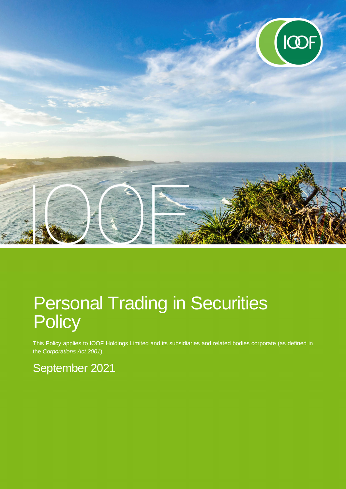

# Personal Trading in Securities **Policy**

This Policy applies to IOOF Holdings Limited and its subsidiaries and related bodies corporate (as defined in the *Corporations Act 2001*).

## September 2021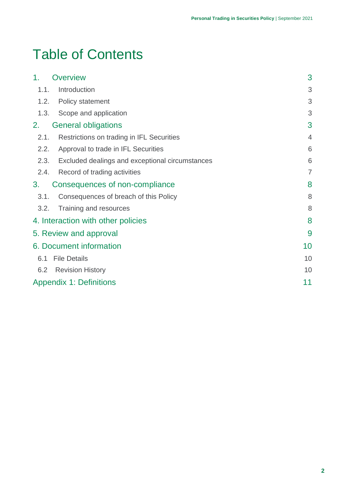## Table of Contents

| 1.                     | <b>Overview</b>                                 | 3              |
|------------------------|-------------------------------------------------|----------------|
| 1.1.                   | Introduction                                    | 3              |
| 1.2.                   | <b>Policy statement</b>                         | 3              |
| 1.3.                   | Scope and application                           | 3              |
| 2.                     | <b>General obligations</b>                      | 3              |
| 2.1.                   | Restrictions on trading in IFL Securities       | $\overline{4}$ |
| 2.2.                   | Approval to trade in IFL Securities             | 6              |
| 2.3.                   | Excluded dealings and exceptional circumstances | 6              |
| 2.4.                   | Record of trading activities                    | 7              |
| 3.                     | Consequences of non-compliance                  | 8              |
| 3.1.                   | Consequences of breach of this Policy           | 8              |
| 3.2.                   | Training and resources                          | 8              |
|                        | 4. Interaction with other policies              | 8              |
| 5. Review and approval |                                                 |                |
|                        | <b>6. Document information</b>                  | 10             |
| 6.1                    | <b>File Details</b>                             | 10             |
| 6.2                    | <b>Revision History</b>                         | 10             |
|                        | <b>Appendix 1: Definitions</b>                  | 11             |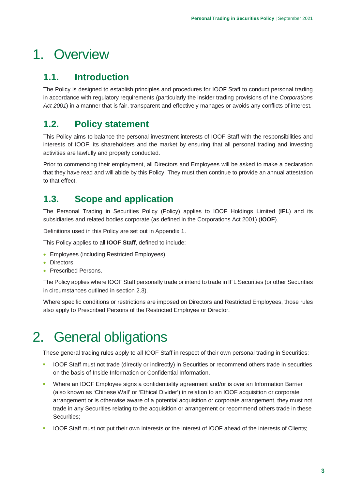## 1. Overview

## **1.1. Introduction**

The Policy is designed to establish principles and procedures for IOOF Staff to conduct personal trading in accordance with regulatory requirements (particularly the insider trading provisions of the *Corporations Act 2001*) in a manner that is fair, transparent and effectively manages or avoids any conflicts of interest.

## **1.2. Policy statement**

This Policy aims to balance the personal investment interests of IOOF Staff with the responsibilities and interests of IOOF, its shareholders and the market by ensuring that all personal trading and investing activities are lawfully and properly conducted.

Prior to commencing their employment, all Directors and Employees will be asked to make a declaration that they have read and will abide by this Policy. They must then continue to provide an annual attestation to that effect.

### **1.3. Scope and application**

The Personal Trading in Securities Policy (Policy) applies to IOOF Holdings Limited (**IFL**) and its subsidiaries and related bodies corporate (as defined in the Corporations Act 2001) (**IOOF**).

Definitions used in this Policy are set out in Appendix 1.

This Policy applies to all **IOOF Staff**, defined to include:

- **Employees (including Restricted Employees).**
- Directors.
- Prescribed Persons.

The Policy applies where IOOF Staff personally trade or intend to trade in IFL Securities (or other Securities in circumstances outlined in section 2.3).

Where specific conditions or restrictions are imposed on Directors and Restricted Employees, those rules also apply to Prescribed Persons of the Restricted Employee or Director.

## 2. General obligations

These general trading rules apply to all IOOF Staff in respect of their own personal trading in Securities:

- **IOOF Staff must not trade (directly or indirectly) in Securities or recommend others trade in securities** on the basis of Inside Information or Confidential Information.
- Where an IOOF Employee signs a confidentiality agreement and/or is over an Information Barrier (also known as 'Chinese Wall' or 'Ethical Divider') in relation to an IOOF acquisition or corporate arrangement or is otherwise aware of a potential acquisition or corporate arrangement, they must not trade in any Securities relating to the acquisition or arrangement or recommend others trade in these Securities;
- IOOF Staff must not put their own interests or the interest of IOOF ahead of the interests of Clients;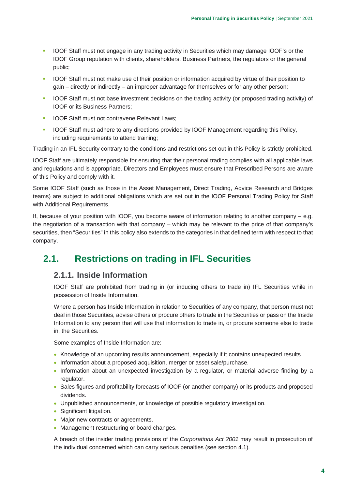- IOOF Staff must not engage in any trading activity in Securities which may damage IOOF's or the IOOF Group reputation with clients, shareholders, Business Partners, the regulators or the general public;
- IOOF Staff must not make use of their position or information acquired by virtue of their position to gain – directly or indirectly – an improper advantage for themselves or for any other person;
- **IOOF Staff must not base investment decisions on the trading activity (or proposed trading activity) of** IOOF or its Business Partners;
- **IOOF Staff must not contravene Relevant Laws;**
- **IOOF Staff must adhere to any directions provided by IOOF Management regarding this Policy,** including requirements to attend training;

Trading in an IFL Security contrary to the conditions and restrictions set out in this Policy is strictly prohibited.

IOOF Staff are ultimately responsible for ensuring that their personal trading complies with all applicable laws and regulations and is appropriate. Directors and Employees must ensure that Prescribed Persons are aware of this Policy and comply with it.

Some IOOF Staff (such as those in the Asset Management, Direct Trading, Advice Research and Bridges teams) are subject to additional obligations which are set out in the IOOF Personal Trading Policy for Staff with Additional Requirements.

If, because of your position with IOOF, you become aware of information relating to another company – e.g. the negotiation of a transaction with that company – which may be relevant to the price of that company's securities, then "Securities" in this policy also extends to the categories in that defined term with respect to that company.

### **2.1. Restrictions on trading in IFL Securities**

#### **2.1.1. Inside Information**

IOOF Staff are prohibited from trading in (or inducing others to trade in) IFL Securities while in possession of Inside Information.

Where a person has Inside Information in relation to Securities of any company, that person must not deal in those Securities, advise others or procure others to trade in the Securities or pass on the Inside Information to any person that will use that information to trade in, or procure someone else to trade in, the Securities.

Some examples of Inside Information are:

- Knowledge of an upcoming results announcement, especially if it contains unexpected results.
- Information about a proposed acquisition, merger or asset sale/purchase.
- Information about an unexpected investigation by a regulator, or material adverse finding by a regulator.
- Sales figures and profitability forecasts of IOOF (or another company) or its products and proposed dividends.
- Unpublished announcements, or knowledge of possible regulatory investigation.
- Significant litigation.
- Major new contracts or agreements.
- Management restructuring or board changes.

A breach of the insider trading provisions of the *Corporations Act 2001* may result in prosecution of the individual concerned which can carry serious penalties (see section 4.1).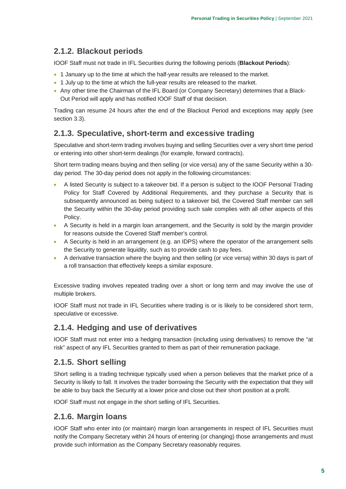### **2.1.2. Blackout periods**

IOOF Staff must not trade in IFL Securities during the following periods (**Blackout Periods**):

- 1 January up to the time at which the half-year results are released to the market.
- 1 July up to the time at which the full-year results are released to the market.
- Any other time the Chairman of the IFL Board (or Company Secretary) determines that a Black-Out Period will apply and has notified IOOF Staff of that decision.

Trading can resume 24 hours after the end of the Blackout Period and exceptions may apply (see section 3.3).

#### **2.1.3. Speculative, short-term and excessive trading**

Speculative and short-term trading involves buying and selling Securities over a very short time period or entering into other short-term dealings (for example, forward contracts).

Short term trading means buying and then selling (or vice versa) any of the same Security within a 30 day period. The 30-day period does not apply in the following circumstances:

- A listed Security is subject to a takeover bid. If a person is subject to the IOOF Personal Trading Policy for Staff Covered by Additional Requirements, and they purchase a Security that is subsequently announced as being subject to a takeover bid, the Covered Staff member can sell the Security within the 30-day period providing such sale complies with all other aspects of this Policy.
- A Security is held in a margin loan arrangement, and the Security is sold by the margin provider for reasons outside the Covered Staff member's control.
- A Security is held in an arrangement (e.g. an IDPS) where the operator of the arrangement sells the Security to generate liquidity, such as to provide cash to pay fees.
- A derivative transaction where the buying and then selling (or vice versa) within 30 days is part of a roll transaction that effectively keeps a similar exposure.

Excessive trading involves repeated trading over a short or long term and may involve the use of multiple brokers.

IOOF Staff must not trade in IFL Securities where trading is or is likely to be considered short term, speculative or excessive.

#### **2.1.4. Hedging and use of derivatives**

IOOF Staff must not enter into a hedging transaction (including using derivatives) to remove the "at risk" aspect of any IFL Securities granted to them as part of their remuneration package.

#### **2.1.5. Short selling**

Short selling is a trading technique typically used when a person believes that the market price of a Security is likely to fall. It involves the trader borrowing the Security with the expectation that they will be able to buy back the Security at a lower price and close out their short position at a profit.

IOOF Staff must not engage in the short selling of IFL Securities.

#### **2.1.6. Margin loans**

IOOF Staff who enter into (or maintain) margin loan arrangements in respect of IFL Securities must notify the Company Secretary within 24 hours of entering (or changing) those arrangements and must provide such information as the Company Secretary reasonably requires.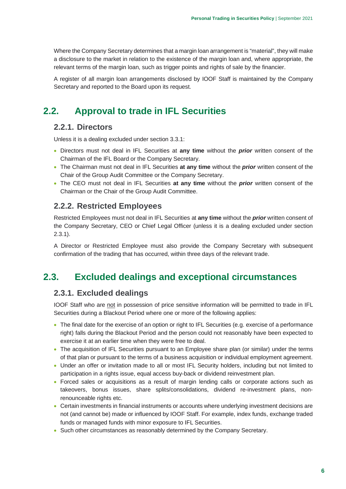Where the Company Secretary determines that a margin loan arrangement is "material", they will make a disclosure to the market in relation to the existence of the margin loan and, where appropriate, the relevant terms of the margin loan, such as trigger points and rights of sale by the financier.

A register of all margin loan arrangements disclosed by IOOF Staff is maintained by the Company Secretary and reported to the Board upon its request.

### **2.2. Approval to trade in IFL Securities**

#### **2.2.1. Directors**

Unless it is a dealing excluded under section 3.3.1:

- Directors must not deal in IFL Securities at **any time** without the *prior* written consent of the Chairman of the IFL Board or the Company Secretary.
- The Chairman must not deal in IFL Securities **at any time** without the *prior* written consent of the Chair of the Group Audit Committee or the Company Secretary.
- The CEO must not deal in IFL Securities **at any time** without the *prior* written consent of the Chairman or the Chair of the Group Audit Committee.

#### **2.2.2. Restricted Employees**

Restricted Employees must not deal in IFL Securities at **any time** without the *prior* written consent of the Company Secretary, CEO or Chief Legal Officer (unless it is a dealing excluded under section 2.3.1).

A Director or Restricted Employee must also provide the Company Secretary with subsequent confirmation of the trading that has occurred, within three days of the relevant trade.

### **2.3. Excluded dealings and exceptional circumstances**

#### **2.3.1. Excluded dealings**

IOOF Staff who are not in possession of price sensitive information will be permitted to trade in IFL Securities during a Blackout Period where one or more of the following applies:

- The final date for the exercise of an option or right to IFL Securities (e.g. exercise of a performance right) falls during the Blackout Period and the person could not reasonably have been expected to exercise it at an earlier time when they were free to deal.
- The acquisition of IFL Securities pursuant to an Employee share plan (or similar) under the terms of that plan or pursuant to the terms of a business acquisition or individual employment agreement.
- Under an offer or invitation made to all or most IFL Security holders, including but not limited to participation in a rights issue, equal access buy-back or dividend reinvestment plan.
- Forced sales or acquisitions as a result of margin lending calls or corporate actions such as takeovers, bonus issues, share splits/consolidations, dividend re-investment plans, nonrenounceable rights etc.
- Certain investments in financial instruments or accounts where underlying investment decisions are not (and cannot be) made or influenced by IOOF Staff. For example, index funds, exchange traded funds or managed funds with minor exposure to IFL Securities.
- Such other circumstances as reasonably determined by the Company Secretary.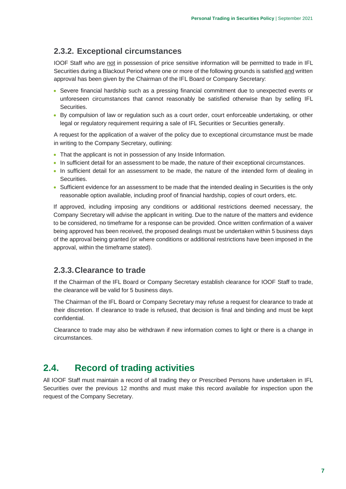#### **2.3.2. Exceptional circumstances**

IOOF Staff who are not in possession of price sensitive information will be permitted to trade in IFL Securities during a Blackout Period where one or more of the following grounds is satisfied and written approval has been given by the Chairman of the IFL Board or Company Secretary:

- Severe financial hardship such as a pressing financial commitment due to unexpected events or unforeseen circumstances that cannot reasonably be satisfied otherwise than by selling IFL Securities.
- By compulsion of law or regulation such as a court order, court enforceable undertaking, or other legal or regulatory requirement requiring a sale of IFL Securities or Securities generally.

A request for the application of a waiver of the policy due to exceptional circumstance must be made in writing to the Company Secretary, outlining:

- That the applicant is not in possession of any Inside Information.
- In sufficient detail for an assessment to be made, the nature of their exceptional circumstances.
- In sufficient detail for an assessment to be made, the nature of the intended form of dealing in Securities.
- Sufficient evidence for an assessment to be made that the intended dealing in Securities is the only reasonable option available, including proof of financial hardship, copies of court orders, etc.

If approved, including imposing any conditions or additional restrictions deemed necessary, the Company Secretary will advise the applicant in writing. Due to the nature of the matters and evidence to be considered, no timeframe for a response can be provided. Once written confirmation of a waiver being approved has been received, the proposed dealings must be undertaken within 5 business days of the approval being granted (or where conditions or additional restrictions have been imposed in the approval, within the timeframe stated).

#### **2.3.3. Clearance to trade**

If the Chairman of the IFL Board or Company Secretary establish clearance for IOOF Staff to trade, the clearance will be valid for 5 business days.

The Chairman of the IFL Board or Company Secretary may refuse a request for clearance to trade at their discretion. If clearance to trade is refused, that decision is final and binding and must be kept confidential.

Clearance to trade may also be withdrawn if new information comes to light or there is a change in circumstances.

### **2.4. Record of trading activities**

All IOOF Staff must maintain a record of all trading they or Prescribed Persons have undertaken in IFL Securities over the previous 12 months and must make this record available for inspection upon the request of the Company Secretary.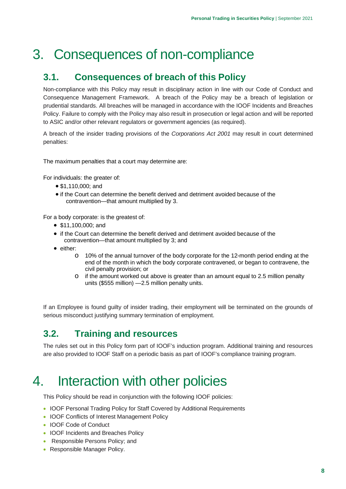## 3. Consequences of non-compliance

### **3.1. Consequences of breach of this Policy**

Non-compliance with this Policy may result in disciplinary action in line with our Code of Conduct and Consequence Management Framework. A breach of the Policy may be a breach of legislation or prudential standards. All breaches will be managed in accordance with the IOOF Incidents and Breaches Policy. Failure to comply with the Policy may also result in prosecution or legal action and will be reported to ASIC and/or other relevant regulators or government agencies (as required).

A breach of the insider trading provisions of the *Corporations Act 2001* may result in court determined penalties:

The maximum penalties that a court may determine are:

For individuals: the greater of:

- \$1,110,000; and
- if the Court can determine the benefit derived and detriment avoided because of the contravention—that amount multiplied by 3.

For a body corporate: is the greatest of:

- \$11,100,000; and
- if the Court can determine the benefit derived and detriment avoided because of the contravention—that amount multiplied by 3; and
- either:
	- o 10% of the annual turnover of the body corporate for the 12-month period ending at the end of the month in which the body corporate contravened, or began to contravene, the civil penalty provision; or
	- o if the amount worked out above is greater than an amount equal to 2.5 million penalty units (\$555 million) —2.5 million penalty units.

If an Employee is found guilty of insider trading, their employment will be terminated on the grounds of serious misconduct justifying summary termination of employment.

## **3.2. Training and resources**

The rules set out in this Policy form part of IOOF's induction program. Additional training and resources are also provided to IOOF Staff on a periodic basis as part of IOOF's compliance training program.

## 4. Interaction with other policies

This Policy should be read in conjunction with the following IOOF policies:

- IOOF Personal Trading Policy for Staff Covered by Additional Requirements
- IOOF Conflicts of Interest Management Policy
- IOOF Code of Conduct
- IOOF Incidents and Breaches Policy
- Responsible Persons Policy; and
- Responsible Manager Policy.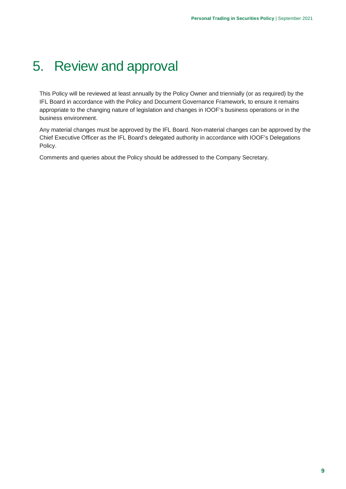## 5. Review and approval

This Policy will be reviewed at least annually by the Policy Owner and triennially (or as required) by the IFL Board in accordance with the Policy and Document Governance Framework, to ensure it remains appropriate to the changing nature of legislation and changes in IOOF's business operations or in the business environment.

Any material changes must be approved by the IFL Board. Non-material changes can be approved by the Chief Executive Officer as the IFL Board's delegated authority in accordance with IOOF's Delegations Policy.

Comments and queries about the Policy should be addressed to the Company Secretary.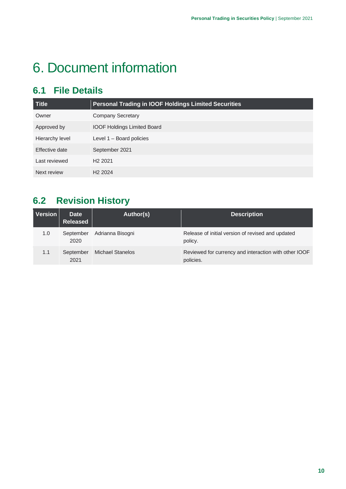## 6. Document information

## **6.1 File Details**

| <b>Title</b>    | <b>Personal Trading in IOOF Holdings Limited Securities</b> |
|-----------------|-------------------------------------------------------------|
| Owner           | <b>Company Secretary</b>                                    |
| Approved by     | <b>IOOF Holdings Limited Board</b>                          |
| Hierarchy level | Level 1 - Board policies                                    |
| Effective date  | September 2021                                              |
| Last reviewed   | H <sub>2</sub> 2021                                         |
| Next review     | H <sub>2</sub> 2024                                         |

## **6.2 Revision History**

| <b>Version</b> | <b>Date</b><br><b>Released</b> | Author(s)               | <b>Description</b>                                                 |
|----------------|--------------------------------|-------------------------|--------------------------------------------------------------------|
| 1.0            | September<br>2020              | Adrianna Bisogni        | Release of initial version of revised and updated<br>policy.       |
| 1.1            | September<br>2021              | <b>Michael Stanelos</b> | Reviewed for currency and interaction with other IOOF<br>policies. |